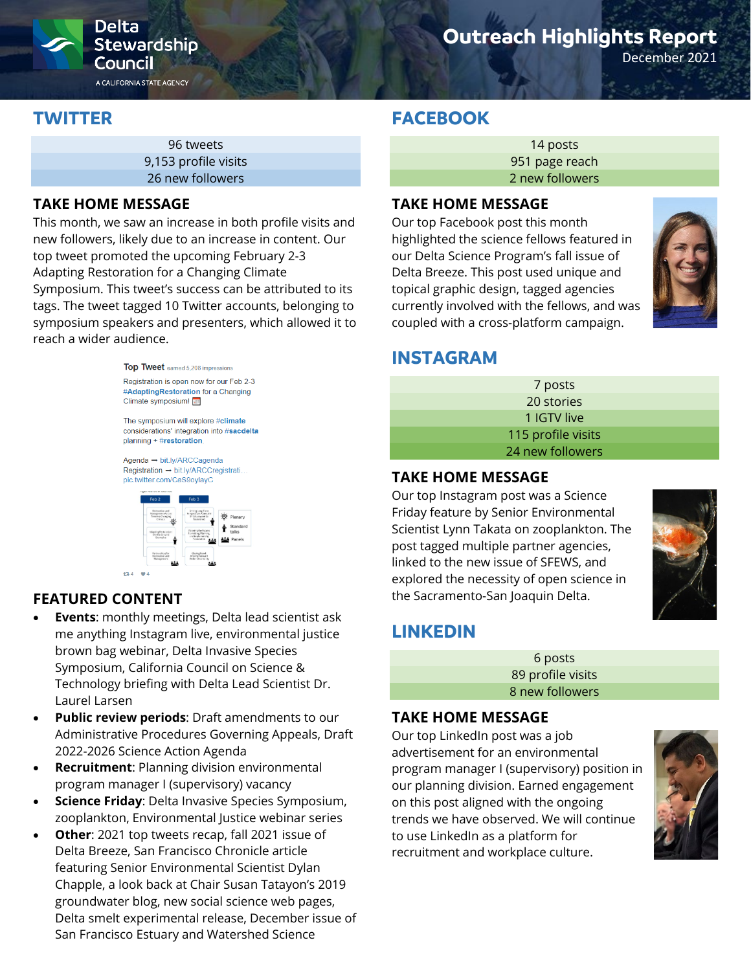

# **Outreach Highlights Report**

December 2021

## **TWITTER**

| 96 tweets            |
|----------------------|
| 9,153 profile visits |
| 26 new followers     |

## **TAKE HOME MESSAGE**

This month, we saw an increase in both profile visits and new followers, likely due to an increase in content. Our top tweet promoted the upcoming February 2-3 Adapting Restoration for a Changing Climate Symposium. This tweet's success can be attributed to its tags. The tweet tagged 10 Twitter accounts, belonging to symposium speakers and presenters, which allowed it to reach a wider audience.



## **FEATURED CONTENT**

**t34** 

- **Events:** monthly meetings, Delta lead scientist ask me anything Instagram live, environmental justice brown bag webinar, Delta Invasive Species Symposium, California Council on Science & Technology briefing with Delta Lead Scientist Dr. Laurel Larsen
- **Public review periods**: Draft amendments to our Administrative Procedures Governing Appeals, Draft 2022-2026 Science Action Agenda
- **Recruitment**: Planning division environmental program manager I (supervisory) vacancy
- **Science Friday**: Delta Invasive Species Symposium, zooplankton, Environmental Justice webinar series
- **Other:** 2021 top tweets recap, fall 2021 issue of Delta Breeze, San Francisco Chronicle article featuring Senior Environmental Scientist Dylan Chapple, a look back at Chair Susan Tatayon's 2019 groundwater blog, new social science web pages, Delta smelt experimental release, December issue of San Francisco Estuary and Watershed Science

## **FACEBOOK**

14 posts 951 page reach 2 new followers

### **TAKE HOME MESSAGE**

Our top Facebook post this month highlighted the science fellows featured in our Delta Science Program's fall issue of Delta Breeze. This post used unique and topical graphic design, tagged agencies currently involved with the fellows, and was coupled with a cross-platform campaign.



## **INSTAGRAM**

| 7 posts            |  |
|--------------------|--|
| 20 stories         |  |
| 1 IGTV live        |  |
| 115 profile visits |  |
| 24 new followers   |  |

### **TAKE HOME MESSAGE**

Our top Instagram post was a Science Friday feature by Senior Environmental Scientist Lynn Takata on zooplankton. The post tagged multiple partner agencies, linked to the new issue of SFEWS, and explored the necessity of open science in the Sacramento-San Joaquin Delta.



# **LINKEDIN**

6 posts 89 profile visits 8 new followers

### **TAKE HOME MESSAGE**

Our top LinkedIn post was a job advertisement for an environmental program manager I (supervisory) position in our planning division. Earned engagement on this post aligned with the ongoing trends we have observed. We will continue to use LinkedIn as a platform for recruitment and workplace culture.